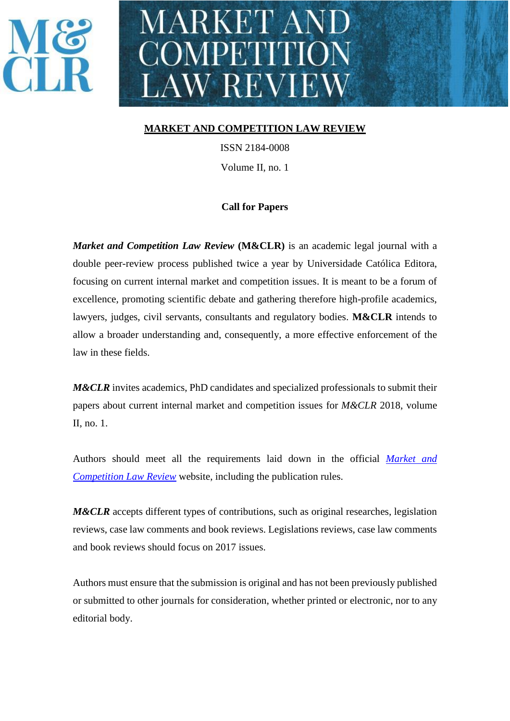## MARKET AN COMPETITION LAW REVIEW

#### **MARKET AND COMPETITION LAW REVIEW**

ISSN 2184-0008 Volume II, no. 1

#### **Call for Papers**

*Market and Competition Law Review* **(M&CLR)** is an academic legal journal with a double peer-review process published twice a year by Universidade Católica Editora, focusing on current internal market and competition issues. It is meant to be a forum of excellence, promoting scientific debate and gathering therefore high-profile academics, lawyers, judges, civil servants, consultants and regulatory bodies. **M&CLR** intends to allow a broader understanding and, consequently, a more effective enforcement of the law in these fields.

*M&CLR* invites academics, PhD candidates and specialized professionals to submit their papers about current internal market and competition issues for *M&CLR* 2018, volume II, no. 1.

Authors should meet all the requirements laid down in the official *[Market and](http://www.mclawreview.com/)  [Competition Law Review](http://www.mclawreview.com/)* website, including the publication rules.

*M&CLR* accepts different types of contributions, such as original researches, legislation reviews, case law comments and book reviews. Legislations reviews, case law comments and book reviews should focus on 2017 issues.

Authors must ensure that the submission is original and has not been previously published or submitted to other journals for consideration, whether printed or electronic, nor to any editorial body.